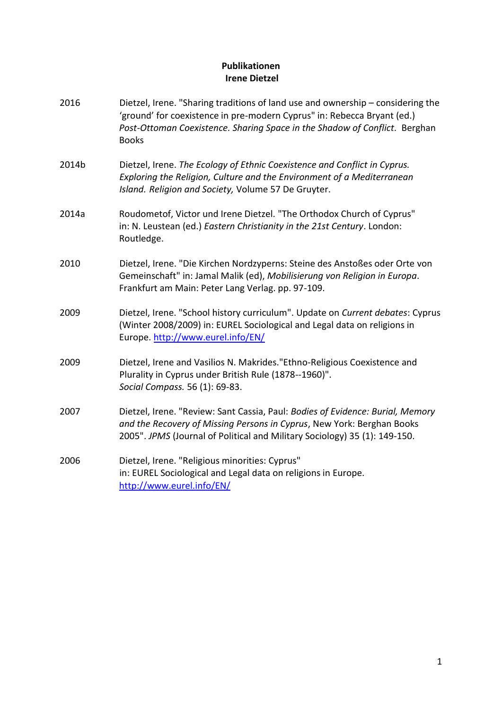## **Publikationen Irene Dietzel**

2016 Dietzel, Irene. "Sharing traditions of land use and ownership – considering the 'ground' for coexistence in pre-modern Cyprus" in: Rebecca Bryant (ed.) *Post-Ottoman Coexistence. Sharing Space in the Shadow of Conflict.* Berghan Books 2014b Dietzel, Irene. *The Ecology of Ethnic Coexistence and Conflict in Cyprus. Exploring the Religion, Culture and the Environment of a Mediterranean Island. Religion and Society,* Volume 57 De Gruyter. 2014a Roudometof, Victor und Irene Dietzel. "The Orthodox Church of Cyprus" in: N. Leustean (ed.) *Eastern Christianity in the 21st Century*. London: Routledge. 2010 Dietzel, Irene. "Die Kirchen Nordzyperns: Steine des Anstoßes oder Orte von Gemeinschaft" in: Jamal Malik (ed), *Mobilisierung von Religion in Europa*. Frankfurt am Main: Peter Lang Verlag. pp. 97-109. 2009 Dietzel, Irene. "School history curriculum". Update on *Current debates*: Cyprus (Winter 2008/2009) in: EUREL Sociological and Legal data on religions in Europe. <http://www.eurel.info/EN/> 2009 Dietzel, Irene and Vasilios N. Makrides."Ethno-Religious Coexistence and Plurality in Cyprus under British Rule (1878--1960)". *Social Compass.* 56 (1): 69-83. 2007 Dietzel, Irene. "Review: Sant Cassia, Paul: *Bodies of Evidence: Burial, Memory and the Recovery of Missing Persons in Cyprus*, New York: Berghan Books 2005". *JPMS* (Journal of Political and Military Sociology) 35 (1): 149-150. 2006 Dietzel, Irene. "Religious minorities: Cyprus" in: EUREL Sociological and Legal data on religions in Europe. <http://www.eurel.info/EN/>